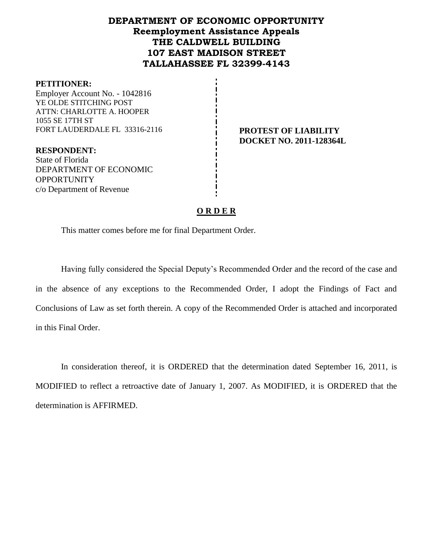# **DEPARTMENT OF ECONOMIC OPPORTUNITY Reemployment Assistance Appeals THE CALDWELL BUILDING 107 EAST MADISON STREET TALLAHASSEE FL 32399-4143**

#### **PETITIONER:**

Employer Account No. - 1042816 YE OLDE STITCHING POST ATTN: CHARLOTTE A. HOOPER 1055 SE 17TH ST FORT LAUDERDALE FL 33316-2116 **PROTEST OF LIABILITY** 

**RESPONDENT:** State of Florida DEPARTMENT OF ECONOMIC **OPPORTUNITY** c/o Department of Revenue

**DOCKET NO. 2011-128364L**

## **O R D E R**

This matter comes before me for final Department Order.

Having fully considered the Special Deputy's Recommended Order and the record of the case and in the absence of any exceptions to the Recommended Order, I adopt the Findings of Fact and Conclusions of Law as set forth therein. A copy of the Recommended Order is attached and incorporated in this Final Order.

In consideration thereof, it is ORDERED that the determination dated September 16, 2011, is MODIFIED to reflect a retroactive date of January 1, 2007. As MODIFIED, it is ORDERED that the determination is AFFIRMED.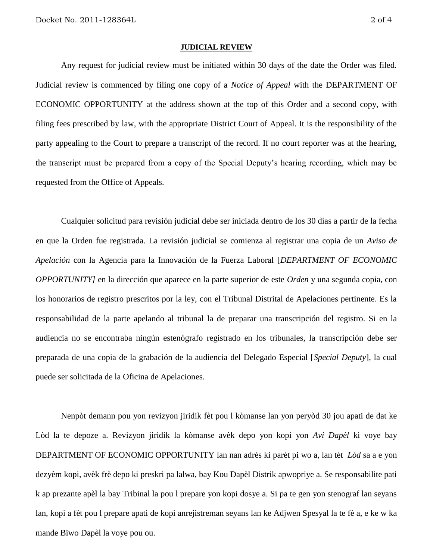#### **JUDICIAL REVIEW**

Any request for judicial review must be initiated within 30 days of the date the Order was filed. Judicial review is commenced by filing one copy of a *Notice of Appeal* with the DEPARTMENT OF ECONOMIC OPPORTUNITY at the address shown at the top of this Order and a second copy, with filing fees prescribed by law, with the appropriate District Court of Appeal. It is the responsibility of the party appealing to the Court to prepare a transcript of the record. If no court reporter was at the hearing, the transcript must be prepared from a copy of the Special Deputy's hearing recording, which may be requested from the Office of Appeals.

Cualquier solicitud para revisión judicial debe ser iniciada dentro de los 30 días a partir de la fecha en que la Orden fue registrada. La revisión judicial se comienza al registrar una copia de un *Aviso de Apelación* con la Agencia para la Innovación de la Fuerza Laboral [*DEPARTMENT OF ECONOMIC OPPORTUNITY]* en la dirección que aparece en la parte superior de este *Orden* y una segunda copia, con los honorarios de registro prescritos por la ley, con el Tribunal Distrital de Apelaciones pertinente. Es la responsabilidad de la parte apelando al tribunal la de preparar una transcripción del registro. Si en la audiencia no se encontraba ningún estenógrafo registrado en los tribunales, la transcripción debe ser preparada de una copia de la grabación de la audiencia del Delegado Especial [*Special Deputy*], la cual puede ser solicitada de la Oficina de Apelaciones.

Nenpòt demann pou yon revizyon jiridik fèt pou l kòmanse lan yon peryòd 30 jou apati de dat ke Lòd la te depoze a. Revizyon jiridik la kòmanse avèk depo yon kopi yon *Avi Dapèl* ki voye bay DEPARTMENT OF ECONOMIC OPPORTUNITY lan nan adrès ki parèt pi wo a, lan tèt *Lòd* sa a e yon dezyèm kopi, avèk frè depo ki preskri pa lalwa, bay Kou Dapèl Distrik apwopriye a. Se responsabilite pati k ap prezante apèl la bay Tribinal la pou l prepare yon kopi dosye a. Si pa te gen yon stenograf lan seyans lan, kopi a fèt pou l prepare apati de kopi anrejistreman seyans lan ke Adjwen Spesyal la te fè a, e ke w ka mande Biwo Dapèl la voye pou ou.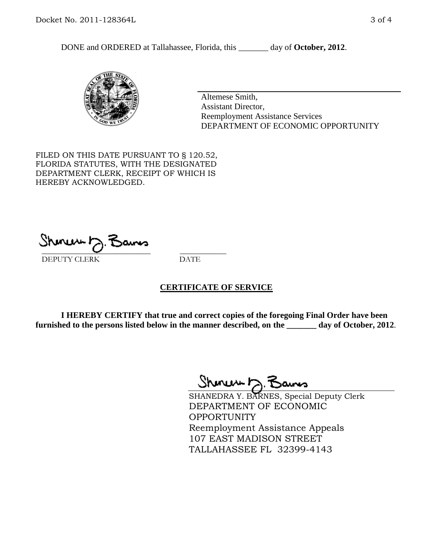DONE and ORDERED at Tallahassee, Florida, this \_\_\_\_\_\_\_ day of **October, 2012**.



Altemese Smith, Assistant Director, Reemployment Assistance Services DEPARTMENT OF ECONOMIC OPPORTUNITY

FILED ON THIS DATE PURSUANT TO § 120.52, FLORIDA STATUTES, WITH THE DESIGNATED DEPARTMENT CLERK, RECEIPT OF WHICH IS HEREBY ACKNOWLEDGED.

 $\overline{\phantom{a}}$  ,  $\overline{\phantom{a}}$  ,  $\overline{\phantom{a}}$  ,  $\overline{\phantom{a}}$  ,  $\overline{\phantom{a}}$  ,  $\overline{\phantom{a}}$  ,  $\overline{\phantom{a}}$  ,  $\overline{\phantom{a}}$ DEPUTY CLERK DATE

## **CERTIFICATE OF SERVICE**

**I HEREBY CERTIFY that true and correct copies of the foregoing Final Order have been furnished to the persons listed below in the manner described, on the \_\_\_\_\_\_\_ day of October, 2012**.

Shenux D.F

SHANEDRA Y. BARNES, Special Deputy Clerk DEPARTMENT OF ECONOMIC **OPPORTUNITY** Reemployment Assistance Appeals 107 EAST MADISON STREET TALLAHASSEE FL 32399-4143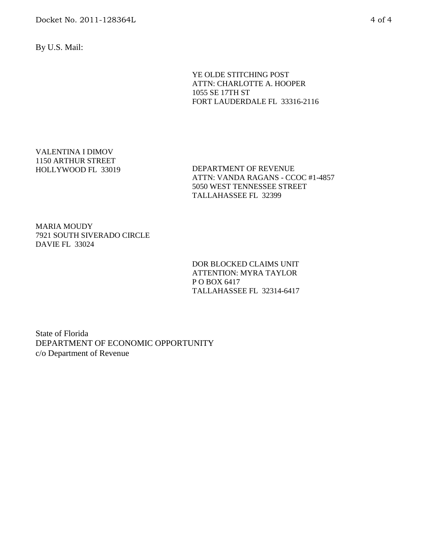Docket No. 2011-128364L 4 of 4

By U.S. Mail:

YE OLDE STITCHING POST ATTN: CHARLOTTE A. HOOPER 1055 SE 17TH ST FORT LAUDERDALE FL 33316-2116

VALENTINA I DIMOV 1150 ARTHUR STREET HOLLYWOOD FL 33019

DEPARTMENT OF REVENUE ATTN: VANDA RAGANS - CCOC #1-4857 5050 WEST TENNESSEE STREET TALLAHASSEE FL 32399

MARIA MOUDY 7921 SOUTH SIVERADO CIRCLE DAVIE FL 33024

> DOR BLOCKED CLAIMS UNIT ATTENTION: MYRA TAYLOR P O BOX 6417 TALLAHASSEE FL 32314-6417

State of Florida DEPARTMENT OF ECONOMIC OPPORTUNITY c/o Department of Revenue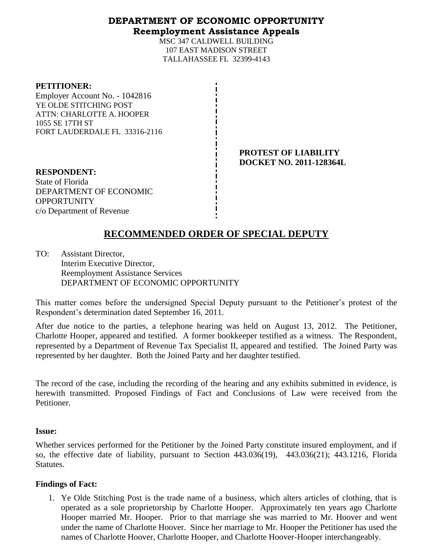## **DEPARTMENT OF ECONOMIC OPPORTUNITY Reemployment Assistance Appeals**

MSC 347 CALDWELL BUILDING 107 EAST MADISON STREET TALLAHASSEE FL 32399-4143

#### **PETITIONER:**

Employer Account No. - 1042816 YE OLDE STITCHING POST ATTN: CHARLOTTE A. HOOPER 1055 SE 17TH ST FORT LAUDERDALE FL 33316-2116

> **PROTEST OF LIABILITY DOCKET NO. 2011-128364L**

**RESPONDENT:** State of Florida DEPARTMENT OF ECONOMIC **OPPORTUNITY** c/o Department of Revenue

# **RECOMMENDED ORDER OF SPECIAL DEPUTY**

TO: Assistant Director, Interim Executive Director, Reemployment Assistance Services DEPARTMENT OF ECONOMIC OPPORTUNITY

This matter comes before the undersigned Special Deputy pursuant to the Petitioner's protest of the Respondent's determination dated September 16, 2011.

After due notice to the parties, a telephone hearing was held on August 13, 2012. The Petitioner, Charlotte Hooper, appeared and testified. A former bookkeeper testified as a witness. The Respondent, represented by a Department of Revenue Tax Specialist II, appeared and testified. The Joined Party was represented by her daughter. Both the Joined Party and her daughter testified.

The record of the case, including the recording of the hearing and any exhibits submitted in evidence, is herewith transmitted. Proposed Findings of Fact and Conclusions of Law were received from the Petitioner.

## **Issue:**

Whether services performed for the Petitioner by the Joined Party constitute insured employment, and if so, the effective date of liability, pursuant to Section 443.036(19), 443.036(21); 443.1216, Florida **Statutes.** 

## **Findings of Fact:**

1. Ye Olde Stitching Post is the trade name of a business, which alters articles of clothing, that is operated as a sole proprietorship by Charlotte Hooper. Approximately ten years ago Charlotte Hooper married Mr. Hooper. Prior to that marriage she was married to Mr. Hoover and went under the name of Charlotte Hoover. Since her marriage to Mr. Hooper the Petitioner has used the names of Charlotte Hoover, Charlotte Hooper, and Charlotte Hoover-Hooper interchangeably.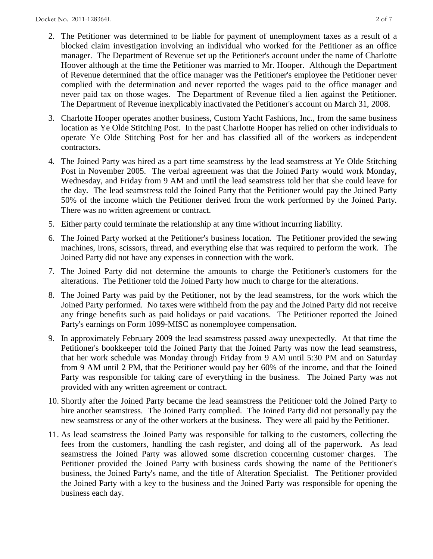- 2. The Petitioner was determined to be liable for payment of unemployment taxes as a result of a blocked claim investigation involving an individual who worked for the Petitioner as an office manager. The Department of Revenue set up the Petitioner's account under the name of Charlotte Hoover although at the time the Petitioner was married to Mr. Hooper. Although the Department of Revenue determined that the office manager was the Petitioner's employee the Petitioner never complied with the determination and never reported the wages paid to the office manager and never paid tax on those wages. The Department of Revenue filed a lien against the Petitioner. The Department of Revenue inexplicably inactivated the Petitioner's account on March 31, 2008.
- 3. Charlotte Hooper operates another business, Custom Yacht Fashions, Inc., from the same business location as Ye Olde Stitching Post. In the past Charlotte Hooper has relied on other individuals to operate Ye Olde Stitching Post for her and has classified all of the workers as independent contractors.
- 4. The Joined Party was hired as a part time seamstress by the lead seamstress at Ye Olde Stitching Post in November 2005. The verbal agreement was that the Joined Party would work Monday, Wednesday, and Friday from 9 AM and until the lead seamstress told her that she could leave for the day. The lead seamstress told the Joined Party that the Petitioner would pay the Joined Party 50% of the income which the Petitioner derived from the work performed by the Joined Party. There was no written agreement or contract.
- 5. Either party could terminate the relationship at any time without incurring liability.
- 6. The Joined Party worked at the Petitioner's business location. The Petitioner provided the sewing machines, irons, scissors, thread, and everything else that was required to perform the work. The Joined Party did not have any expenses in connection with the work.
- 7. The Joined Party did not determine the amounts to charge the Petitioner's customers for the alterations. The Petitioner told the Joined Party how much to charge for the alterations.
- 8. The Joined Party was paid by the Petitioner, not by the lead seamstress, for the work which the Joined Party performed. No taxes were withheld from the pay and the Joined Party did not receive any fringe benefits such as paid holidays or paid vacations. The Petitioner reported the Joined Party's earnings on Form 1099-MISC as nonemployee compensation.
- 9. In approximately February 2009 the lead seamstress passed away unexpectedly. At that time the Petitioner's bookkeeper told the Joined Party that the Joined Party was now the lead seamstress, that her work schedule was Monday through Friday from 9 AM until 5:30 PM and on Saturday from 9 AM until 2 PM, that the Petitioner would pay her 60% of the income, and that the Joined Party was responsible for taking care of everything in the business. The Joined Party was not provided with any written agreement or contract.
- 10. Shortly after the Joined Party became the lead seamstress the Petitioner told the Joined Party to hire another seamstress. The Joined Party complied. The Joined Party did not personally pay the new seamstress or any of the other workers at the business. They were all paid by the Petitioner.
- 11. As lead seamstress the Joined Party was responsible for talking to the customers, collecting the fees from the customers, handling the cash register, and doing all of the paperwork. As lead seamstress the Joined Party was allowed some discretion concerning customer charges. The Petitioner provided the Joined Party with business cards showing the name of the Petitioner's business, the Joined Party's name, and the title of Alteration Specialist. The Petitioner provided the Joined Party with a key to the business and the Joined Party was responsible for opening the business each day.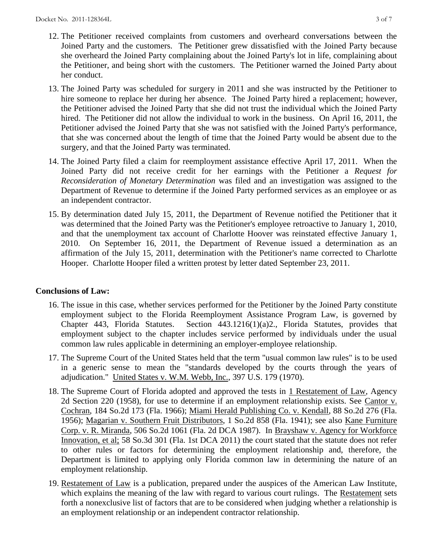- 12. The Petitioner received complaints from customers and overheard conversations between the Joined Party and the customers. The Petitioner grew dissatisfied with the Joined Party because she overheard the Joined Party complaining about the Joined Party's lot in life, complaining about the Petitioner, and being short with the customers. The Petitioner warned the Joined Party about her conduct.
- 13. The Joined Party was scheduled for surgery in 2011 and she was instructed by the Petitioner to hire someone to replace her during her absence. The Joined Party hired a replacement; however, the Petitioner advised the Joined Party that she did not trust the individual which the Joined Party hired. The Petitioner did not allow the individual to work in the business. On April 16, 2011, the Petitioner advised the Joined Party that she was not satisfied with the Joined Party's performance, that she was concerned about the length of time that the Joined Party would be absent due to the surgery, and that the Joined Party was terminated.
- 14. The Joined Party filed a claim for reemployment assistance effective April 17, 2011. When the Joined Party did not receive credit for her earnings with the Petitioner a *Request for Reconsideration of Monetary Determination* was filed and an investigation was assigned to the Department of Revenue to determine if the Joined Party performed services as an employee or as an independent contractor.
- 15. By determination dated July 15, 2011, the Department of Revenue notified the Petitioner that it was determined that the Joined Party was the Petitioner's employee retroactive to January 1, 2010, and that the unemployment tax account of Charlotte Hoover was reinstated effective January 1, 2010. On September 16, 2011, the Department of Revenue issued a determination as an affirmation of the July 15, 2011, determination with the Petitioner's name corrected to Charlotte Hooper. Charlotte Hooper filed a written protest by letter dated September 23, 2011.

## **Conclusions of Law:**

- 16. The issue in this case, whether services performed for the Petitioner by the Joined Party constitute employment subject to the Florida Reemployment Assistance Program Law, is governed by Chapter 443, Florida Statutes. Section 443.1216(1)(a)2., Florida Statutes, provides that employment subject to the chapter includes service performed by individuals under the usual common law rules applicable in determining an employer-employee relationship.
- 17. The Supreme Court of the United States held that the term "usual common law rules" is to be used in a generic sense to mean the "standards developed by the courts through the years of adjudication." United States v. W.M. Webb, Inc., 397 U.S. 179 (1970).
- 18. The Supreme Court of Florida adopted and approved the tests in 1 Restatement of Law, Agency 2d Section 220 (1958), for use to determine if an employment relationship exists. See Cantor v. Cochran, 184 So.2d 173 (Fla. 1966); Miami Herald Publishing Co. v. Kendall, 88 So.2d 276 (Fla. 1956); Magarian v. Southern Fruit Distributors, 1 So.2d 858 (Fla. 1941); see also Kane Furniture Corp. v. R. Miranda, 506 So.2d 1061 (Fla. 2d DCA 1987). In Brayshaw v. Agency for Workforce Innovation, et al; 58 So.3d 301 (Fla. 1st DCA 2011) the court stated that the statute does not refer to other rules or factors for determining the employment relationship and, therefore, the Department is limited to applying only Florida common law in determining the nature of an employment relationship.
- 19. Restatement of Law is a publication, prepared under the auspices of the American Law Institute, which explains the meaning of the law with regard to various court rulings. The Restatement sets forth a nonexclusive list of factors that are to be considered when judging whether a relationship is an employment relationship or an independent contractor relationship.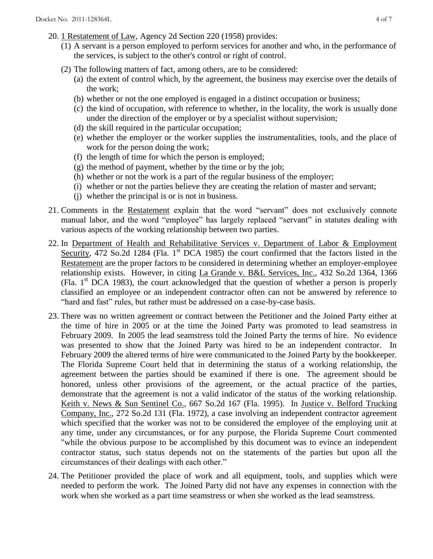- 20. 1 Restatement of Law, Agency 2d Section 220 (1958) provides:
	- (1) A servant is a person employed to perform services for another and who, in the performance of the services, is subject to the other's control or right of control.
	- (2) The following matters of fact, among others, are to be considered:
		- (a) the extent of control which, by the agreement, the business may exercise over the details of the work;
		- (b) whether or not the one employed is engaged in a distinct occupation or business;
		- (c) the kind of occupation, with reference to whether, in the locality, the work is usually done under the direction of the employer or by a specialist without supervision;
		- (d) the skill required in the particular occupation;
		- (e) whether the employer or the worker supplies the instrumentalities, tools, and the place of work for the person doing the work;
		- (f) the length of time for which the person is employed;
		- $(g)$  the method of payment, whether by the time or by the job;
		- (h) whether or not the work is a part of the regular business of the employer;
		- (i) whether or not the parties believe they are creating the relation of master and servant;
		- (j) whether the principal is or is not in business.
- 21. Comments in the Restatement explain that the word "servant" does not exclusively connote manual labor, and the word "employee" has largely replaced "servant" in statutes dealing with various aspects of the working relationship between two parties.
- 22. In Department of Health and Rehabilitative Services v. Department of Labor & Employment Security, 472 So.2d 1284 (Fla. 1<sup>st</sup> DCA 1985) the court confirmed that the factors listed in the Restatement are the proper factors to be considered in determining whether an employer-employee relationship exists. However, in citing La Grande v. B&L Services, Inc., 432 So.2d 1364, 1366 (Fla.  $1<sup>st</sup> DCA$  1983), the court acknowledged that the question of whether a person is properly classified an employee or an independent contractor often can not be answered by reference to "hard and fast" rules, but rather must be addressed on a case-by-case basis.
- 23. There was no written agreement or contract between the Petitioner and the Joined Party either at the time of hire in 2005 or at the time the Joined Party was promoted to lead seamstress in February 2009. In 2005 the lead seamstress told the Joined Party the terms of hire. No evidence was presented to show that the Joined Party was hired to be an independent contractor. In February 2009 the altered terms of hire were communicated to the Joined Party by the bookkeeper. The Florida Supreme Court held that in determining the status of a working relationship, the agreement between the parties should be examined if there is one. The agreement should be honored, unless other provisions of the agreement, or the actual practice of the parties, demonstrate that the agreement is not a valid indicator of the status of the working relationship. Keith v. News & Sun Sentinel Co., 667 So.2d 167 (Fla. 1995). In Justice v. Belford Trucking Company, Inc., 272 So.2d 131 (Fla. 1972), a case involving an independent contractor agreement which specified that the worker was not to be considered the employee of the employing unit at any time, under any circumstances, or for any purpose, the Florida Supreme Court commented "while the obvious purpose to be accomplished by this document was to evince an independent contractor status, such status depends not on the statements of the parties but upon all the circumstances of their dealings with each other."
- 24. The Petitioner provided the place of work and all equipment, tools, and supplies which were needed to perform the work. The Joined Party did not have any expenses in connection with the work when she worked as a part time seamstress or when she worked as the lead seamstress.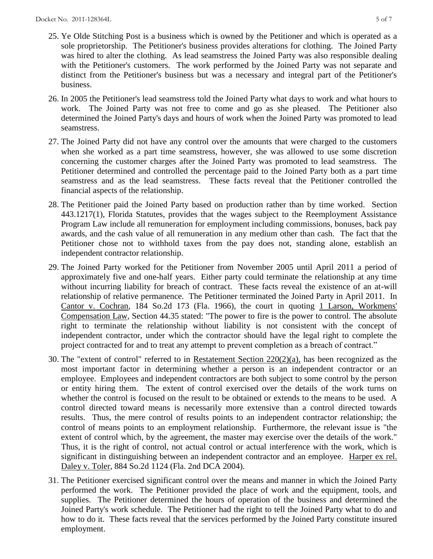- 25. Ye Olde Stitching Post is a business which is owned by the Petitioner and which is operated as a sole proprietorship. The Petitioner's business provides alterations for clothing. The Joined Party was hired to alter the clothing. As lead seamstress the Joined Party was also responsible dealing with the Petitioner's customers. The work performed by the Joined Party was not separate and distinct from the Petitioner's business but was a necessary and integral part of the Petitioner's business.
- 26. In 2005 the Petitioner's lead seamstress told the Joined Party what days to work and what hours to work. The Joined Party was not free to come and go as she pleased. The Petitioner also determined the Joined Party's days and hours of work when the Joined Party was promoted to lead seamstress.
- 27. The Joined Party did not have any control over the amounts that were charged to the customers when she worked as a part time seamstress, however, she was allowed to use some discretion concerning the customer charges after the Joined Party was promoted to lead seamstress. The Petitioner determined and controlled the percentage paid to the Joined Party both as a part time seamstress and as the lead seamstress. These facts reveal that the Petitioner controlled the financial aspects of the relationship.
- 28. The Petitioner paid the Joined Party based on production rather than by time worked. Section 443.1217(1), Florida Statutes, provides that the wages subject to the Reemployment Assistance Program Law include all remuneration for employment including commissions, bonuses, back pay awards, and the cash value of all remuneration in any medium other than cash. The fact that the Petitioner chose not to withhold taxes from the pay does not, standing alone, establish an independent contractor relationship.
- 29. The Joined Party worked for the Petitioner from November 2005 until April 2011 a period of approximately five and one-half years. Either party could terminate the relationship at any time without incurring liability for breach of contract. These facts reveal the existence of an at-will relationship of relative permanence. The Petitioner terminated the Joined Party in April 2011. In Cantor v. Cochran, 184 So.2d 173 (Fla. 1966), the court in quoting 1 Larson, Workmens' Compensation Law, Section 44.35 stated: "The power to fire is the power to control. The absolute right to terminate the relationship without liability is not consistent with the concept of independent contractor, under which the contractor should have the legal right to complete the project contracted for and to treat any attempt to prevent completion as a breach of contract."
- 30. The "extent of control" referred to in Restatement Section 220(2)(a), has been recognized as the most important factor in determining whether a person is an independent contractor or an employee. Employees and independent contractors are both subject to some control by the person or entity hiring them. The extent of control exercised over the details of the work turns on whether the control is focused on the result to be obtained or extends to the means to be used. A control directed toward means is necessarily more extensive than a control directed towards results. Thus, the mere control of results points to an independent contractor relationship; the control of means points to an employment relationship. Furthermore, the relevant issue is "the extent of control which, by the agreement, the master may exercise over the details of the work." Thus, it is the right of control, not actual control or actual interference with the work, which is significant in distinguishing between an independent contractor and an employee. Harper ex rel. Daley v. Toler, 884 So.2d 1124 (Fla. 2nd DCA 2004).
- 31. The Petitioner exercised significant control over the means and manner in which the Joined Party performed the work. The Petitioner provided the place of work and the equipment, tools, and supplies. The Petitioner determined the hours of operation of the business and determined the Joined Party's work schedule. The Petitioner had the right to tell the Joined Party what to do and how to do it. These facts reveal that the services performed by the Joined Party constitute insured employment.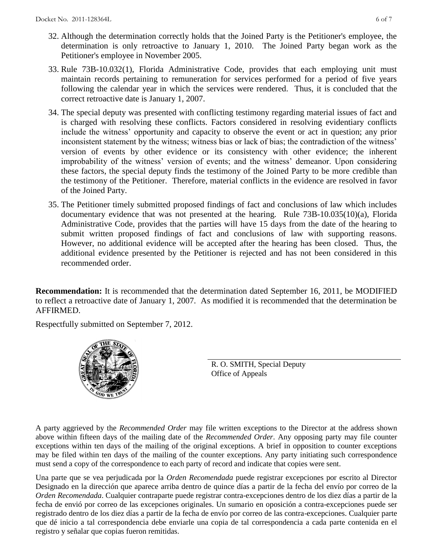- 32. Although the determination correctly holds that the Joined Party is the Petitioner's employee, the determination is only retroactive to January 1, 2010. The Joined Party began work as the Petitioner's employee in November 2005.
- 33. Rule 73B-10.032(1), Florida Administrative Code, provides that each employing unit must maintain records pertaining to remuneration for services performed for a period of five years following the calendar year in which the services were rendered. Thus, it is concluded that the correct retroactive date is January 1, 2007.
- 34. The special deputy was presented with conflicting testimony regarding material issues of fact and is charged with resolving these conflicts. Factors considered in resolving evidentiary conflicts include the witness' opportunity and capacity to observe the event or act in question; any prior inconsistent statement by the witness; witness bias or lack of bias; the contradiction of the witness' version of events by other evidence or its consistency with other evidence; the inherent improbability of the witness' version of events; and the witness' demeanor. Upon considering these factors, the special deputy finds the testimony of the Joined Party to be more credible than the testimony of the Petitioner. Therefore, material conflicts in the evidence are resolved in favor of the Joined Party.
- 35. The Petitioner timely submitted proposed findings of fact and conclusions of law which includes documentary evidence that was not presented at the hearing. Rule 73B-10.035(10)(a), Florida Administrative Code, provides that the parties will have 15 days from the date of the hearing to submit written proposed findings of fact and conclusions of law with supporting reasons. However, no additional evidence will be accepted after the hearing has been closed. Thus, the additional evidence presented by the Petitioner is rejected and has not been considered in this recommended order.

**Recommendation:** It is recommended that the determination dated September 16, 2011, be MODIFIED to reflect a retroactive date of January 1, 2007. As modified it is recommended that the determination be AFFIRMED.

Respectfully submitted on September 7, 2012.



R. O. SMITH, Special Deputy Office of Appeals

A party aggrieved by the *Recommended Order* may file written exceptions to the Director at the address shown above within fifteen days of the mailing date of the *Recommended Order*. Any opposing party may file counter exceptions within ten days of the mailing of the original exceptions. A brief in opposition to counter exceptions may be filed within ten days of the mailing of the counter exceptions. Any party initiating such correspondence must send a copy of the correspondence to each party of record and indicate that copies were sent.

Una parte que se vea perjudicada por la *Orden Recomendada* puede registrar excepciones por escrito al Director Designado en la dirección que aparece arriba dentro de quince días a partir de la fecha del envío por correo de la *Orden Recomendada*. Cualquier contraparte puede registrar contra-excepciones dentro de los diez días a partir de la fecha de envió por correo de las excepciones originales. Un sumario en oposición a contra-excepciones puede ser registrado dentro de los diez días a partir de la fecha de envío por correo de las contra-excepciones. Cualquier parte que dé inicio a tal correspondencia debe enviarle una copia de tal correspondencia a cada parte contenida en el registro y señalar que copias fueron remitidas.